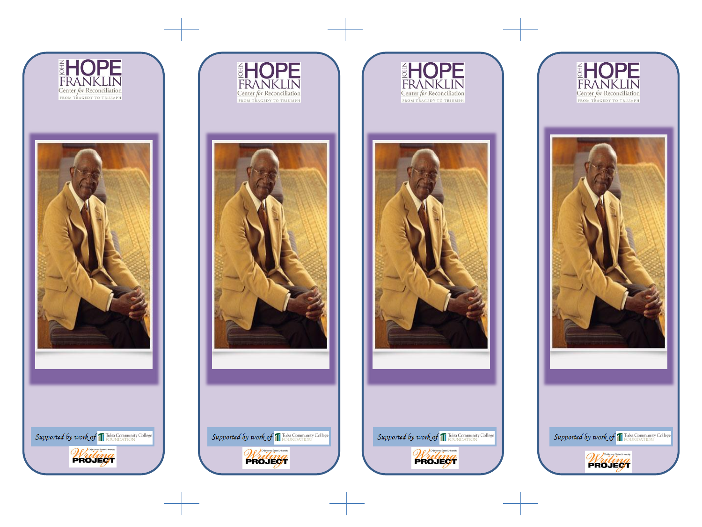



Supported by work of T Tulsa Community College

Writing